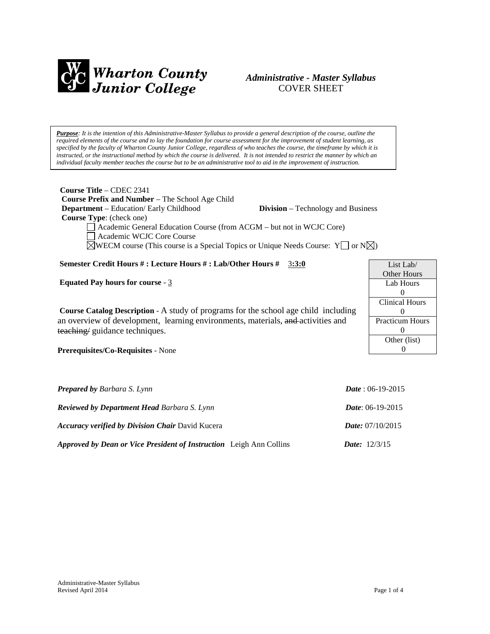

# *Administrative - Master Syllabus*  COVER SHEET

*Purpose: It is the intention of this Administrative-Master Syllabus to provide a general description of the course, outline the required elements of the course and to lay the foundation for course assessment for the improvement of student learning, as specified by the faculty of Wharton County Junior College, regardless of who teaches the course, the timeframe by which it is instructed, or the instructional method by which the course is delivered. It is not intended to restrict the manner by which an individual faculty member teaches the course but to be an administrative tool to aid in the improvement of instruction.*

**Course Title** – CDEC 2341  **Course Prefix and Number** – The School Age Child  **Department** – Education/ Early Childhood **Division** – Technology and Business  **Course Type**: (check one)

Academic General Education Course (from ACGM – but not in WCJC Core)

Academic WCJC Core Course

 $\boxtimes$ WECM course (This course is a Special Topics or Unique Needs Course: Y  $\Box$  or N $\boxtimes$ )

# **Semester Credit Hours # : Lecture Hours # : Lab/Other Hours #** 3**:3:0**

**Equated Pay hours for course** - 3

**Course Catalog Description** - A study of programs for the school age child including an overview of development, learning environments, materials, and activities and teaching/ guidance techniques.

**Prerequisites/Co-Requisites** - None

| <b>Prepared by Barbara S. Lynn</b>                                  | <i>Date</i> : 06-19-2015  |
|---------------------------------------------------------------------|---------------------------|
| <b>Reviewed by Department Head Barbara S. Lynn</b>                  | <i>Date:</i> 06-19-2015   |
| <b>Accuracy verified by Division Chair David Kucera</b>             | <i>Date:</i> $07/10/2015$ |
| Approved by Dean or Vice President of Instruction Leigh Ann Collins | <b>Date:</b> $12/3/15$    |

List Lab/ Other Hours Lab Hours  $\Omega$ Clinical Hours  $\Omega$ Practicum Hours  $\theta$ Other (list) 0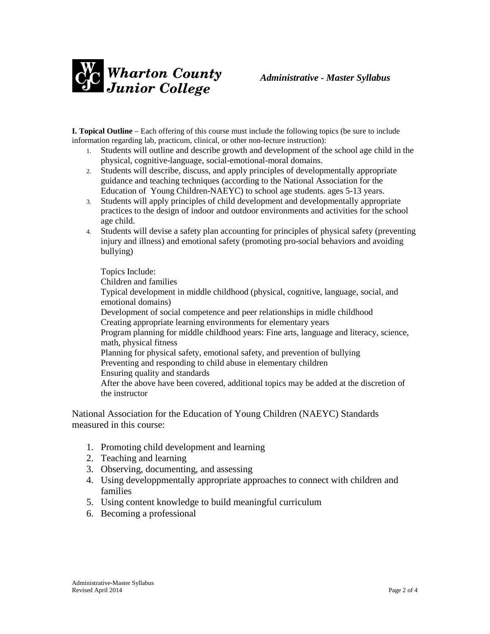

**I. Topical Outline** – Each offering of this course must include the following topics (be sure to include information regarding lab, practicum, clinical, or other non-lecture instruction):

- 1. Students will outline and describe growth and development of the school age child in the physical, cognitive-language, social-emotional-moral domains.
- 2. Students will describe, discuss, and apply principles of developmentally appropriate guidance and teaching techniques (according to the National Association for the Education of Young Children-NAEYC) to school age students. ages 5-13 years.
- 3. Students will apply principles of child development and developmentally appropriate practices to the design of indoor and outdoor environments and activities for the school age child.
- 4. Students will devise a safety plan accounting for principles of physical safety (preventing injury and illness) and emotional safety (promoting pro-social behaviors and avoiding bullying)

Topics Include: Children and families Typical development in middle childhood (physical, cognitive, language, social, and emotional domains) Development of social competence and peer relationships in midle childhood Creating appropriate learning environments for elementary years Program planning for middle childhood years: Fine arts, language and literacy, science, math, physical fitness Planning for physical safety, emotional safety, and prevention of bullying Preventing and responding to child abuse in elementary children Ensuring quality and standards After the above have been covered, additional topics may be added at the discretion of the instructor

National Association for the Education of Young Children (NAEYC) Standards measured in this course:

- 1. Promoting child development and learning
- 2. Teaching and learning
- 3. Observing, documenting, and assessing
- 4. Using developpmentally appropriate approaches to connect with children and families
- 5. Using content knowledge to build meaningful curriculum
- 6. Becoming a professional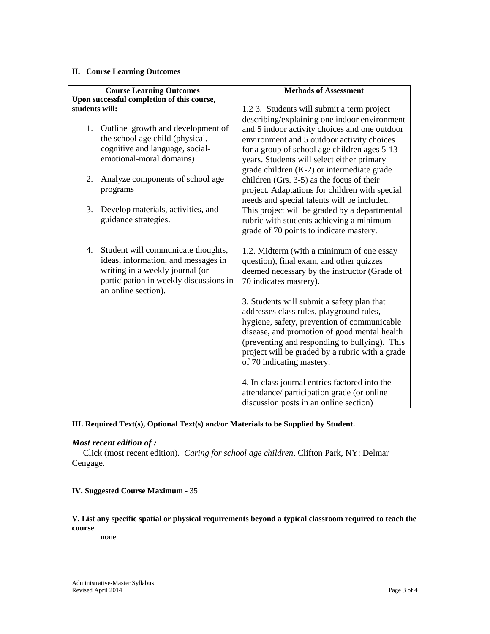#### **II. Course Learning Outcomes**

|                | <b>Course Learning Outcomes</b>            | <b>Methods of Assessment</b>                                                                     |
|----------------|--------------------------------------------|--------------------------------------------------------------------------------------------------|
|                | Upon successful completion of this course, |                                                                                                  |
| students will: |                                            | 1.2 3. Students will submit a term project                                                       |
|                |                                            | describing/explaining one indoor environment                                                     |
|                | 1. Outline growth and development of       | and 5 indoor activity choices and one outdoor                                                    |
|                | the school age child (physical,            | environment and 5 outdoor activity choices                                                       |
|                | cognitive and language, social-            | for a group of school age children ages 5-13                                                     |
|                | emotional-moral domains)                   | years. Students will select either primary                                                       |
|                |                                            | grade children (K-2) or intermediate grade                                                       |
| 2.             | Analyze components of school age           | children (Grs. 3-5) as the focus of their                                                        |
|                | programs                                   | project. Adaptations for children with special                                                   |
| 3.             | Develop materials, activities, and         | needs and special talents will be included.                                                      |
|                | guidance strategies.                       | This project will be graded by a departmental<br>rubric with students achieving a minimum        |
|                |                                            | grade of 70 points to indicate mastery.                                                          |
|                |                                            |                                                                                                  |
|                | 4. Student will communicate thoughts,      | 1.2. Midterm (with a minimum of one essay                                                        |
|                | ideas, information, and messages in        | question), final exam, and other quizzes                                                         |
|                | writing in a weekly journal (or            | deemed necessary by the instructor (Grade of                                                     |
|                | participation in weekly discussions in     | 70 indicates mastery).                                                                           |
|                | an online section).                        |                                                                                                  |
|                |                                            | 3. Students will submit a safety plan that                                                       |
|                |                                            | addresses class rules, playground rules,                                                         |
|                |                                            | hygiene, safety, prevention of communicable                                                      |
|                |                                            | disease, and promotion of good mental health                                                     |
|                |                                            | (preventing and responding to bullying). This<br>project will be graded by a rubric with a grade |
|                |                                            | of 70 indicating mastery.                                                                        |
|                |                                            |                                                                                                  |
|                |                                            | 4. In-class journal entries factored into the                                                    |
|                |                                            | attendance/ participation grade (or online                                                       |
|                |                                            | discussion posts in an online section)                                                           |

## **III. Required Text(s), Optional Text(s) and/or Materials to be Supplied by Student.**

## *Most recent edition of :*

Click (most recent edition). *Caring for school age children,* Clifton Park, NY: Delmar Cengage.

### **IV. Suggested Course Maximum** - 35

## **V. List any specific spatial or physical requirements beyond a typical classroom required to teach the course**.

none